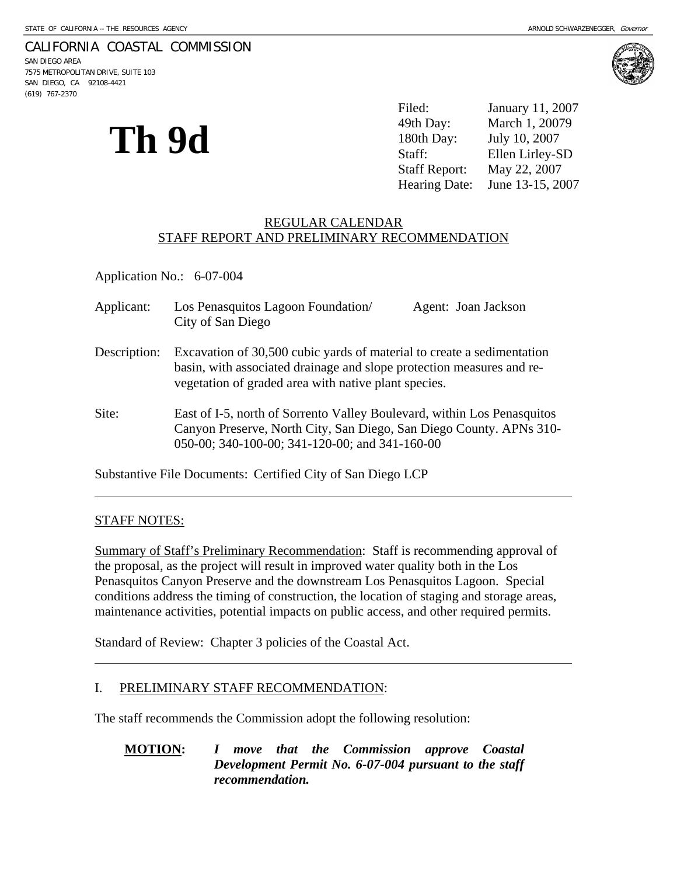# CALIFORNIA COASTAL COMMISSION

SAN DIEGO AREA 7575 METROPOLITAN DRIVE, SUITE 103 SAN DIEGO, CA 92108-4421 (619) 767-2370



Hearing Date: June 13-15, 2007

# REGULAR CALENDAR STAFF REPORT AND PRELIMINARY RECOMMENDATION

Application No.: 6-07-004

**Th 9d** 

| Applicant:   | Los Penasquitos Lagoon Foundation/<br>City of San Diego                                                                                                                                                 | Agent: Joan Jackson |
|--------------|---------------------------------------------------------------------------------------------------------------------------------------------------------------------------------------------------------|---------------------|
| Description: | Excavation of 30,500 cubic yards of material to create a sedimentation<br>basin, with associated drainage and slope protection measures and re-<br>vegetation of graded area with native plant species. |                     |
| Site:        | East of I-5, north of Sorrento Valley Boulevard, within Los Penasquitos<br>Canyon Preserve, North City, San Diego, San Diego County. APNs 310-<br>050-00; 340-100-00; 341-120-00; and 341-160-00        |                     |

Substantive File Documents: Certified City of San Diego LCP

## STAFF NOTES:

l

 $\overline{a}$ 

Summary of Staff's Preliminary Recommendation: Staff is recommending approval of the proposal, as the project will result in improved water quality both in the Los Penasquitos Canyon Preserve and the downstream Los Penasquitos Lagoon. Special conditions address the timing of construction, the location of staging and storage areas, maintenance activities, potential impacts on public access, and other required permits.

Standard of Review: Chapter 3 policies of the Coastal Act.

## I. PRELIMINARY STAFF RECOMMENDATION:

The staff recommends the Commission adopt the following resolution:

## **MOTION:** *I move that the Commission approve Coastal Development Permit No. 6-07-004 pursuant to the staff recommendation.*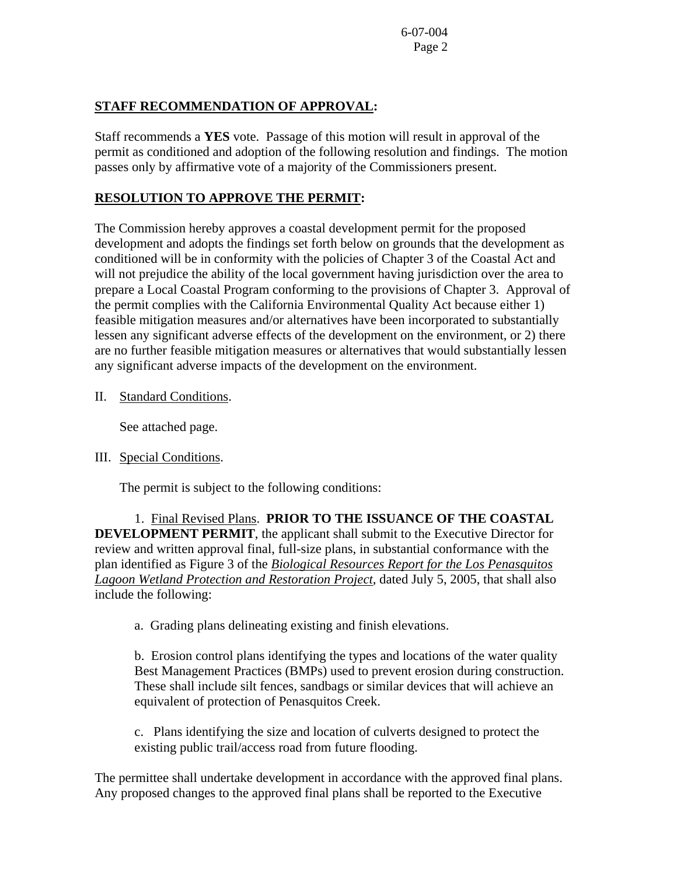# **STAFF RECOMMENDATION OF APPROVAL:**

Staff recommends a **YES** vote. Passage of this motion will result in approval of the permit as conditioned and adoption of the following resolution and findings. The motion passes only by affirmative vote of a majority of the Commissioners present.

# **RESOLUTION TO APPROVE THE PERMIT:**

The Commission hereby approves a coastal development permit for the proposed development and adopts the findings set forth below on grounds that the development as conditioned will be in conformity with the policies of Chapter 3 of the Coastal Act and will not prejudice the ability of the local government having jurisdiction over the area to prepare a Local Coastal Program conforming to the provisions of Chapter 3. Approval of the permit complies with the California Environmental Quality Act because either 1) feasible mitigation measures and/or alternatives have been incorporated to substantially lessen any significant adverse effects of the development on the environment, or 2) there are no further feasible mitigation measures or alternatives that would substantially lessen any significant adverse impacts of the development on the environment.

II. Standard Conditions.

See attached page.

III. Special Conditions.

The permit is subject to the following conditions:

 1. Final Revised Plans. **PRIOR TO THE ISSUANCE OF THE COASTAL DEVELOPMENT PERMIT**, the applicant shall submit to the Executive Director for review and written approval final, full-size plans, in substantial conformance with the plan identified as Figure 3 of the *Biological Resources Report for the Los Penasquitos Lagoon Wetland Protection and Restoration Project*, dated July 5, 2005, that shall also include the following:

a. Grading plans delineating existing and finish elevations.

b. Erosion control plans identifying the types and locations of the water quality Best Management Practices (BMPs) used to prevent erosion during construction. These shall include silt fences, sandbags or similar devices that will achieve an equivalent of protection of Penasquitos Creek.

c. Plans identifying the size and location of culverts designed to protect the existing public trail/access road from future flooding.

The permittee shall undertake development in accordance with the approved final plans. Any proposed changes to the approved final plans shall be reported to the Executive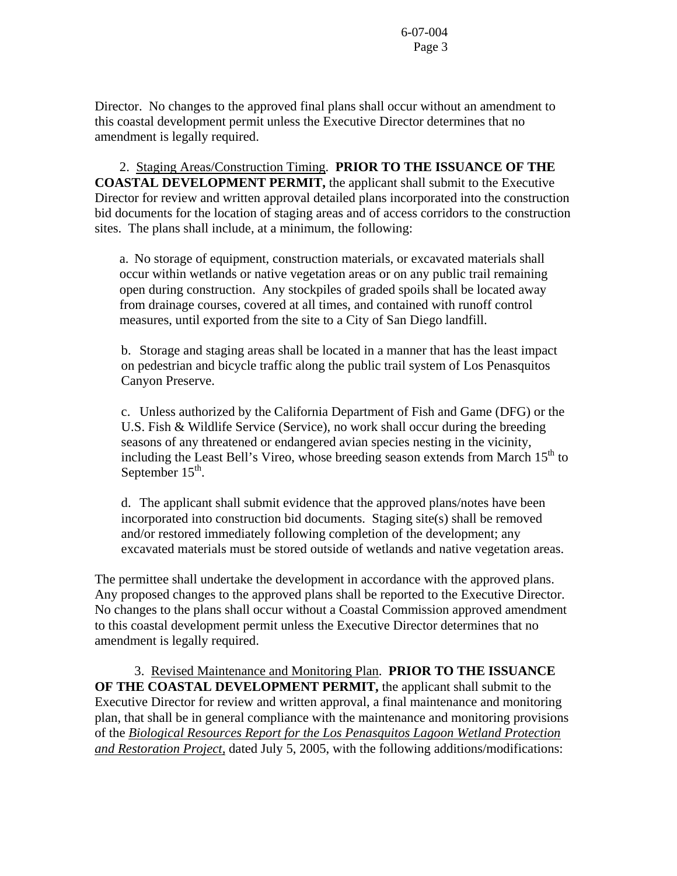Director. No changes to the approved final plans shall occur without an amendment to this coastal development permit unless the Executive Director determines that no amendment is legally required.

 2. Staging Areas/Construction Timing. **PRIOR TO THE ISSUANCE OF THE COASTAL DEVELOPMENT PERMIT,** the applicant shall submit to the Executive Director for review and written approval detailed plans incorporated into the construction bid documents for the location of staging areas and of access corridors to the construction sites. The plans shall include, at a minimum, the following:

a. No storage of equipment, construction materials, or excavated materials shall occur within wetlands or native vegetation areas or on any public trail remaining open during construction. Any stockpiles of graded spoils shall be located away from drainage courses, covered at all times, and contained with runoff control measures, until exported from the site to a City of San Diego landfill.

 b. Storage and staging areas shall be located in a manner that has the least impact on pedestrian and bicycle traffic along the public trail system of Los Penasquitos Canyon Preserve.

c. Unless authorized by the California Department of Fish and Game (DFG) or the U.S. Fish & Wildlife Service (Service), no work shall occur during the breeding seasons of any threatened or endangered avian species nesting in the vicinity, including the Least Bell's Vireo, whose breeding season extends from March 15<sup>th</sup> to September  $15<sup>th</sup>$ .

d. The applicant shall submit evidence that the approved plans/notes have been incorporated into construction bid documents. Staging site(s) shall be removed and/or restored immediately following completion of the development; any excavated materials must be stored outside of wetlands and native vegetation areas.

The permittee shall undertake the development in accordance with the approved plans. Any proposed changes to the approved plans shall be reported to the Executive Director. No changes to the plans shall occur without a Coastal Commission approved amendment to this coastal development permit unless the Executive Director determines that no amendment is legally required.

 3. Revised Maintenance and Monitoring Plan. **PRIOR TO THE ISSUANCE OF THE COASTAL DEVELOPMENT PERMIT,** the applicant shall submit to the Executive Director for review and written approval, a final maintenance and monitoring plan, that shall be in general compliance with the maintenance and monitoring provisions of the *Biological Resources Report for the Los Penasquitos Lagoon Wetland Protection and Restoration Project,* dated July 5, 2005, with the following additions/modifications: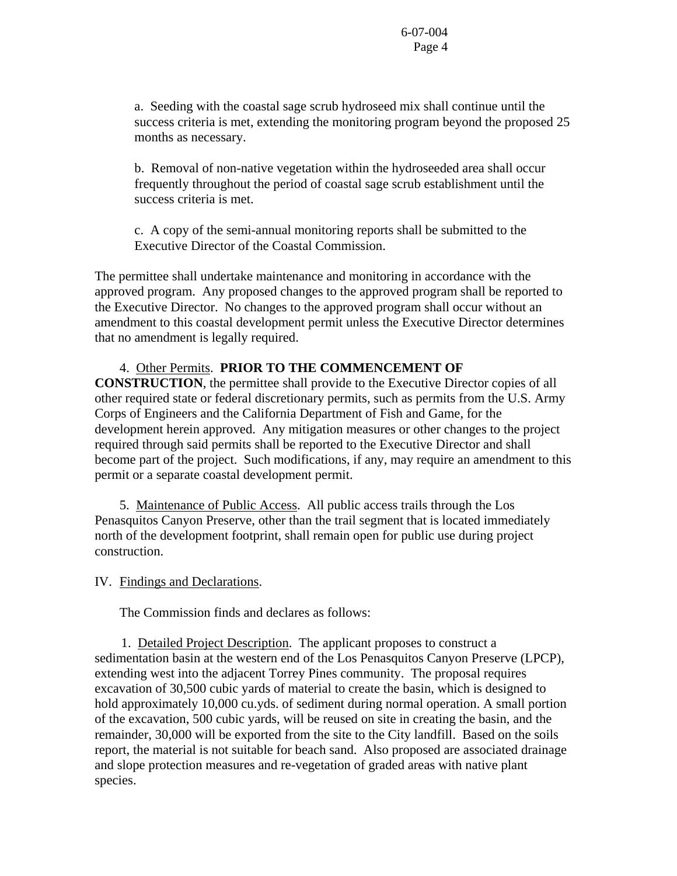a. Seeding with the coastal sage scrub hydroseed mix shall continue until the success criteria is met, extending the monitoring program beyond the proposed 25 months as necessary.

b. Removal of non-native vegetation within the hydroseeded area shall occur frequently throughout the period of coastal sage scrub establishment until the success criteria is met.

c. A copy of the semi-annual monitoring reports shall be submitted to the Executive Director of the Coastal Commission.

The permittee shall undertake maintenance and monitoring in accordance with the approved program. Any proposed changes to the approved program shall be reported to the Executive Director. No changes to the approved program shall occur without an amendment to this coastal development permit unless the Executive Director determines that no amendment is legally required.

# 4. Other Permits. **PRIOR TO THE COMMENCEMENT OF**

**CONSTRUCTION**, the permittee shall provide to the Executive Director copies of all other required state or federal discretionary permits, such as permits from the U.S. Army Corps of Engineers and the California Department of Fish and Game, for the development herein approved. Any mitigation measures or other changes to the project required through said permits shall be reported to the Executive Director and shall become part of the project. Such modifications, if any, may require an amendment to this permit or a separate coastal development permit.

 5. Maintenance of Public Access. All public access trails through the Los Penasquitos Canyon Preserve, other than the trail segment that is located immediately north of the development footprint, shall remain open for public use during project construction.

## IV. Findings and Declarations.

The Commission finds and declares as follows:

 1. Detailed Project Description. The applicant proposes to construct a sedimentation basin at the western end of the Los Penasquitos Canyon Preserve (LPCP), extending west into the adjacent Torrey Pines community. The proposal requires excavation of 30,500 cubic yards of material to create the basin, which is designed to hold approximately 10,000 cu.yds. of sediment during normal operation. A small portion of the excavation, 500 cubic yards, will be reused on site in creating the basin, and the remainder, 30,000 will be exported from the site to the City landfill. Based on the soils report, the material is not suitable for beach sand. Also proposed are associated drainage and slope protection measures and re-vegetation of graded areas with native plant species.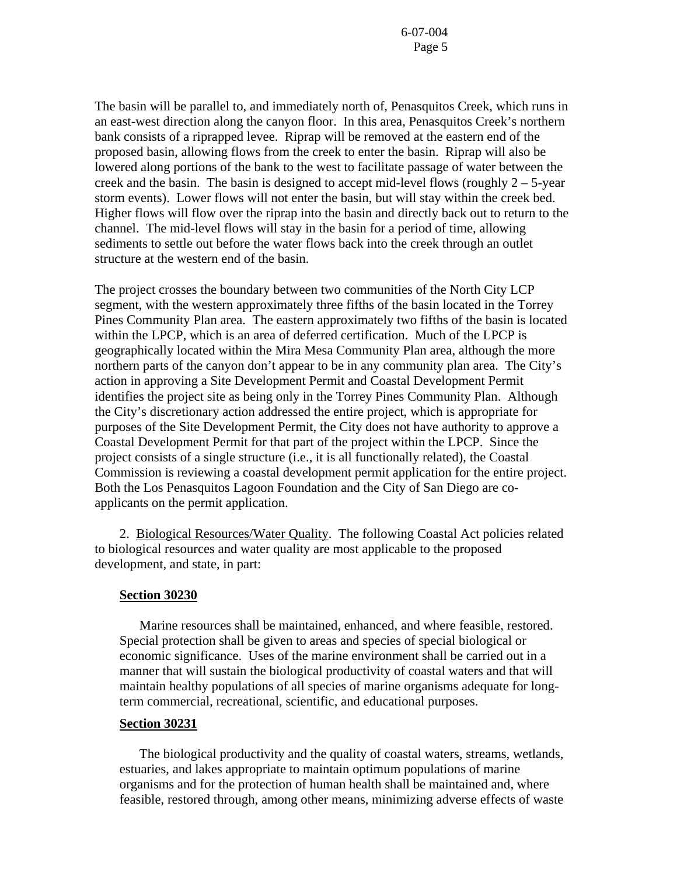The basin will be parallel to, and immediately north of, Penasquitos Creek, which runs in an east-west direction along the canyon floor. In this area, Penasquitos Creek's northern bank consists of a riprapped levee. Riprap will be removed at the eastern end of the proposed basin, allowing flows from the creek to enter the basin. Riprap will also be lowered along portions of the bank to the west to facilitate passage of water between the creek and the basin. The basin is designed to accept mid-level flows (roughly  $2 - 5$ -year storm events). Lower flows will not enter the basin, but will stay within the creek bed. Higher flows will flow over the riprap into the basin and directly back out to return to the channel. The mid-level flows will stay in the basin for a period of time, allowing sediments to settle out before the water flows back into the creek through an outlet structure at the western end of the basin.

The project crosses the boundary between two communities of the North City LCP segment, with the western approximately three fifths of the basin located in the Torrey Pines Community Plan area. The eastern approximately two fifths of the basin is located within the LPCP, which is an area of deferred certification. Much of the LPCP is geographically located within the Mira Mesa Community Plan area, although the more northern parts of the canyon don't appear to be in any community plan area. The City's action in approving a Site Development Permit and Coastal Development Permit identifies the project site as being only in the Torrey Pines Community Plan. Although the City's discretionary action addressed the entire project, which is appropriate for purposes of the Site Development Permit, the City does not have authority to approve a Coastal Development Permit for that part of the project within the LPCP. Since the project consists of a single structure (i.e., it is all functionally related), the Coastal Commission is reviewing a coastal development permit application for the entire project. Both the Los Penasquitos Lagoon Foundation and the City of San Diego are coapplicants on the permit application.

 2. Biological Resources/Water Quality. The following Coastal Act policies related to biological resources and water quality are most applicable to the proposed development, and state, in part:

#### **Section 30230**

 Marine resources shall be maintained, enhanced, and where feasible, restored. Special protection shall be given to areas and species of special biological or economic significance. Uses of the marine environment shall be carried out in a manner that will sustain the biological productivity of coastal waters and that will maintain healthy populations of all species of marine organisms adequate for longterm commercial, recreational, scientific, and educational purposes.

### **Section 30231**

 The biological productivity and the quality of coastal waters, streams, wetlands, estuaries, and lakes appropriate to maintain optimum populations of marine organisms and for the protection of human health shall be maintained and, where feasible, restored through, among other means, minimizing adverse effects of waste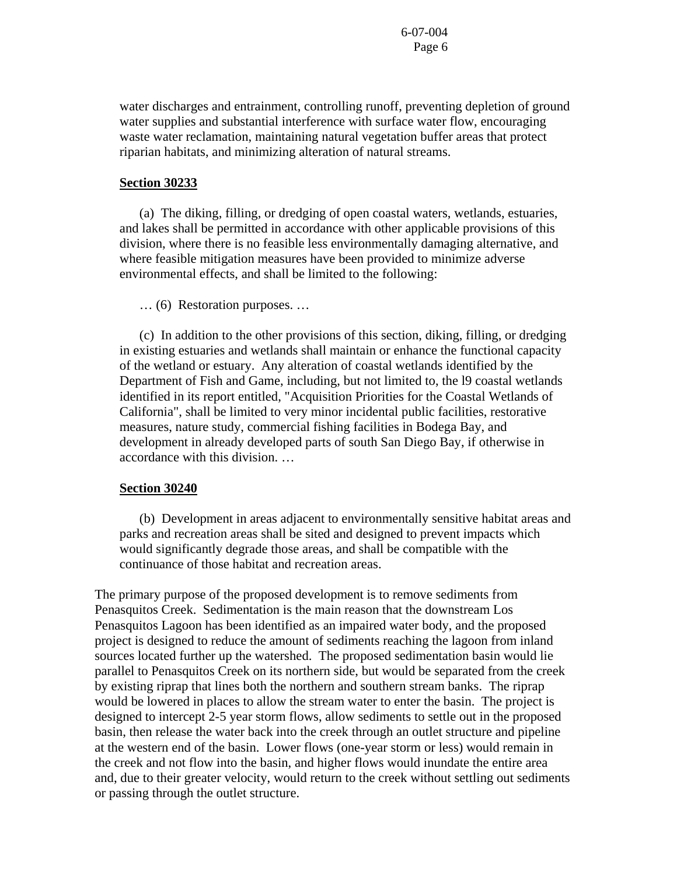water discharges and entrainment, controlling runoff, preventing depletion of ground water supplies and substantial interference with surface water flow, encouraging waste water reclamation, maintaining natural vegetation buffer areas that protect riparian habitats, and minimizing alteration of natural streams.

### **Section 30233**

 (a) The diking, filling, or dredging of open coastal waters, wetlands, estuaries, and lakes shall be permitted in accordance with other applicable provisions of this division, where there is no feasible less environmentally damaging alternative, and where feasible mitigation measures have been provided to minimize adverse environmental effects, and shall be limited to the following:

… (6) Restoration purposes. …

 (c) In addition to the other provisions of this section, diking, filling, or dredging in existing estuaries and wetlands shall maintain or enhance the functional capacity of the wetland or estuary. Any alteration of coastal wetlands identified by the Department of Fish and Game, including, but not limited to, the l9 coastal wetlands identified in its report entitled, "Acquisition Priorities for the Coastal Wetlands of California", shall be limited to very minor incidental public facilities, restorative measures, nature study, commercial fishing facilities in Bodega Bay, and development in already developed parts of south San Diego Bay, if otherwise in accordance with this division. …

#### **Section 30240**

 (b) Development in areas adjacent to environmentally sensitive habitat areas and parks and recreation areas shall be sited and designed to prevent impacts which would significantly degrade those areas, and shall be compatible with the continuance of those habitat and recreation areas.

The primary purpose of the proposed development is to remove sediments from Penasquitos Creek. Sedimentation is the main reason that the downstream Los Penasquitos Lagoon has been identified as an impaired water body, and the proposed project is designed to reduce the amount of sediments reaching the lagoon from inland sources located further up the watershed. The proposed sedimentation basin would lie parallel to Penasquitos Creek on its northern side, but would be separated from the creek by existing riprap that lines both the northern and southern stream banks. The riprap would be lowered in places to allow the stream water to enter the basin. The project is designed to intercept 2-5 year storm flows, allow sediments to settle out in the proposed basin, then release the water back into the creek through an outlet structure and pipeline at the western end of the basin. Lower flows (one-year storm or less) would remain in the creek and not flow into the basin, and higher flows would inundate the entire area and, due to their greater velocity, would return to the creek without settling out sediments or passing through the outlet structure.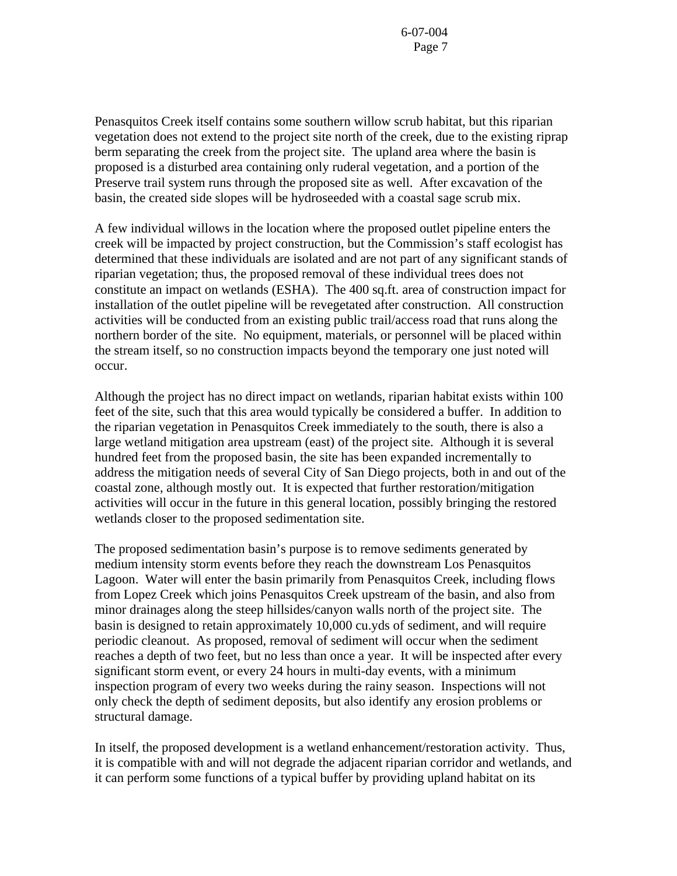Penasquitos Creek itself contains some southern willow scrub habitat, but this riparian vegetation does not extend to the project site north of the creek, due to the existing riprap berm separating the creek from the project site. The upland area where the basin is proposed is a disturbed area containing only ruderal vegetation, and a portion of the Preserve trail system runs through the proposed site as well. After excavation of the basin, the created side slopes will be hydroseeded with a coastal sage scrub mix.

A few individual willows in the location where the proposed outlet pipeline enters the creek will be impacted by project construction, but the Commission's staff ecologist has determined that these individuals are isolated and are not part of any significant stands of riparian vegetation; thus, the proposed removal of these individual trees does not constitute an impact on wetlands (ESHA). The 400 sq.ft. area of construction impact for installation of the outlet pipeline will be revegetated after construction. All construction activities will be conducted from an existing public trail/access road that runs along the northern border of the site. No equipment, materials, or personnel will be placed within the stream itself, so no construction impacts beyond the temporary one just noted will occur.

Although the project has no direct impact on wetlands, riparian habitat exists within 100 feet of the site, such that this area would typically be considered a buffer. In addition to the riparian vegetation in Penasquitos Creek immediately to the south, there is also a large wetland mitigation area upstream (east) of the project site. Although it is several hundred feet from the proposed basin, the site has been expanded incrementally to address the mitigation needs of several City of San Diego projects, both in and out of the coastal zone, although mostly out. It is expected that further restoration/mitigation activities will occur in the future in this general location, possibly bringing the restored wetlands closer to the proposed sedimentation site.

The proposed sedimentation basin's purpose is to remove sediments generated by medium intensity storm events before they reach the downstream Los Penasquitos Lagoon. Water will enter the basin primarily from Penasquitos Creek, including flows from Lopez Creek which joins Penasquitos Creek upstream of the basin, and also from minor drainages along the steep hillsides/canyon walls north of the project site. The basin is designed to retain approximately 10,000 cu.yds of sediment, and will require periodic cleanout. As proposed, removal of sediment will occur when the sediment reaches a depth of two feet, but no less than once a year. It will be inspected after every significant storm event, or every 24 hours in multi-day events, with a minimum inspection program of every two weeks during the rainy season. Inspections will not only check the depth of sediment deposits, but also identify any erosion problems or structural damage.

In itself, the proposed development is a wetland enhancement/restoration activity. Thus, it is compatible with and will not degrade the adjacent riparian corridor and wetlands, and it can perform some functions of a typical buffer by providing upland habitat on its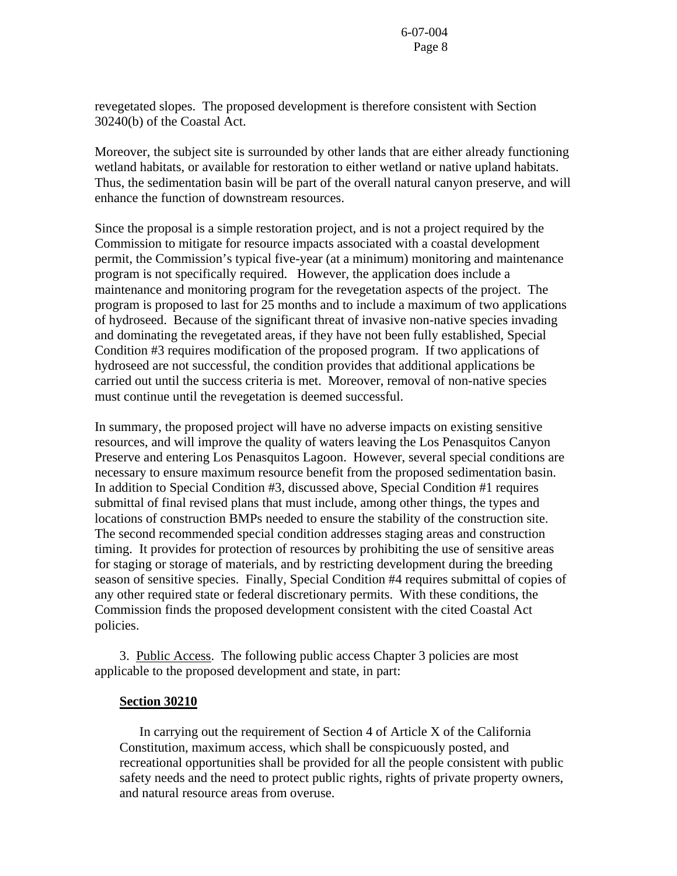revegetated slopes. The proposed development is therefore consistent with Section 30240(b) of the Coastal Act.

Moreover, the subject site is surrounded by other lands that are either already functioning wetland habitats, or available for restoration to either wetland or native upland habitats. Thus, the sedimentation basin will be part of the overall natural canyon preserve, and will enhance the function of downstream resources.

Since the proposal is a simple restoration project, and is not a project required by the Commission to mitigate for resource impacts associated with a coastal development permit, the Commission's typical five-year (at a minimum) monitoring and maintenance program is not specifically required. However, the application does include a maintenance and monitoring program for the revegetation aspects of the project. The program is proposed to last for 25 months and to include a maximum of two applications of hydroseed. Because of the significant threat of invasive non-native species invading and dominating the revegetated areas, if they have not been fully established, Special Condition #3 requires modification of the proposed program. If two applications of hydroseed are not successful, the condition provides that additional applications be carried out until the success criteria is met. Moreover, removal of non-native species must continue until the revegetation is deemed successful.

In summary, the proposed project will have no adverse impacts on existing sensitive resources, and will improve the quality of waters leaving the Los Penasquitos Canyon Preserve and entering Los Penasquitos Lagoon. However, several special conditions are necessary to ensure maximum resource benefit from the proposed sedimentation basin. In addition to Special Condition #3, discussed above, Special Condition #1 requires submittal of final revised plans that must include, among other things, the types and locations of construction BMPs needed to ensure the stability of the construction site. The second recommended special condition addresses staging areas and construction timing. It provides for protection of resources by prohibiting the use of sensitive areas for staging or storage of materials, and by restricting development during the breeding season of sensitive species. Finally, Special Condition #4 requires submittal of copies of any other required state or federal discretionary permits. With these conditions, the Commission finds the proposed development consistent with the cited Coastal Act policies.

 3. Public Access. The following public access Chapter 3 policies are most applicable to the proposed development and state, in part:

### **Section 30210**

 In carrying out the requirement of Section 4 of Article X of the California Constitution, maximum access, which shall be conspicuously posted, and recreational opportunities shall be provided for all the people consistent with public safety needs and the need to protect public rights, rights of private property owners, and natural resource areas from overuse.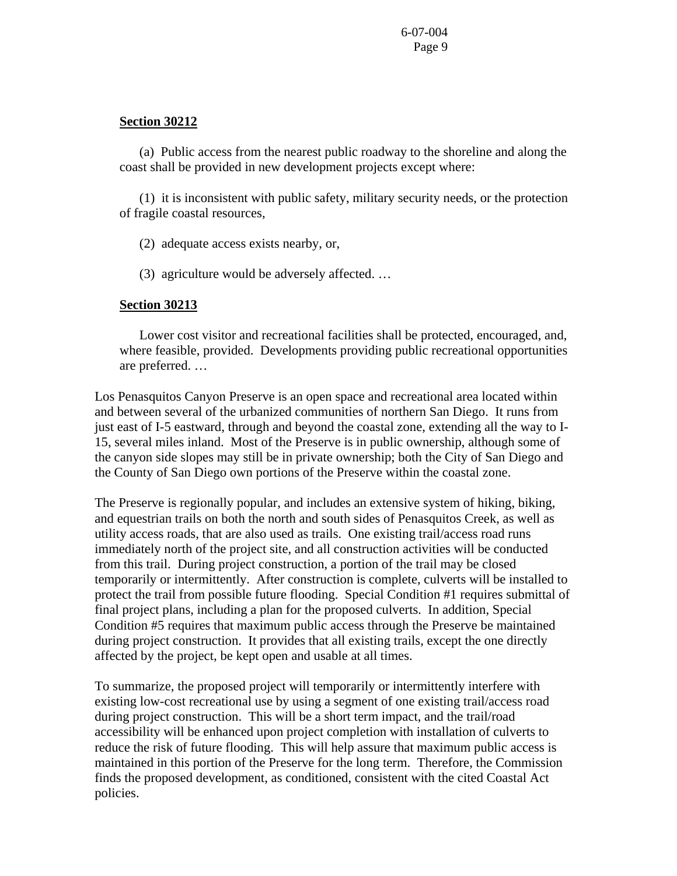### **Section 30212**

 (a) Public access from the nearest public roadway to the shoreline and along the coast shall be provided in new development projects except where:

 (1) it is inconsistent with public safety, military security needs, or the protection of fragile coastal resources,

- (2) adequate access exists nearby, or,
- (3) agriculture would be adversely affected. …

#### **Section 30213**

 Lower cost visitor and recreational facilities shall be protected, encouraged, and, where feasible, provided. Developments providing public recreational opportunities are preferred. …

Los Penasquitos Canyon Preserve is an open space and recreational area located within and between several of the urbanized communities of northern San Diego. It runs from just east of I-5 eastward, through and beyond the coastal zone, extending all the way to I-15, several miles inland. Most of the Preserve is in public ownership, although some of the canyon side slopes may still be in private ownership; both the City of San Diego and the County of San Diego own portions of the Preserve within the coastal zone.

The Preserve is regionally popular, and includes an extensive system of hiking, biking, and equestrian trails on both the north and south sides of Penasquitos Creek, as well as utility access roads, that are also used as trails. One existing trail/access road runs immediately north of the project site, and all construction activities will be conducted from this trail. During project construction, a portion of the trail may be closed temporarily or intermittently. After construction is complete, culverts will be installed to protect the trail from possible future flooding. Special Condition #1 requires submittal of final project plans, including a plan for the proposed culverts. In addition, Special Condition #5 requires that maximum public access through the Preserve be maintained during project construction. It provides that all existing trails, except the one directly affected by the project, be kept open and usable at all times.

To summarize, the proposed project will temporarily or intermittently interfere with existing low-cost recreational use by using a segment of one existing trail/access road during project construction. This will be a short term impact, and the trail/road accessibility will be enhanced upon project completion with installation of culverts to reduce the risk of future flooding. This will help assure that maximum public access is maintained in this portion of the Preserve for the long term. Therefore, the Commission finds the proposed development, as conditioned, consistent with the cited Coastal Act policies.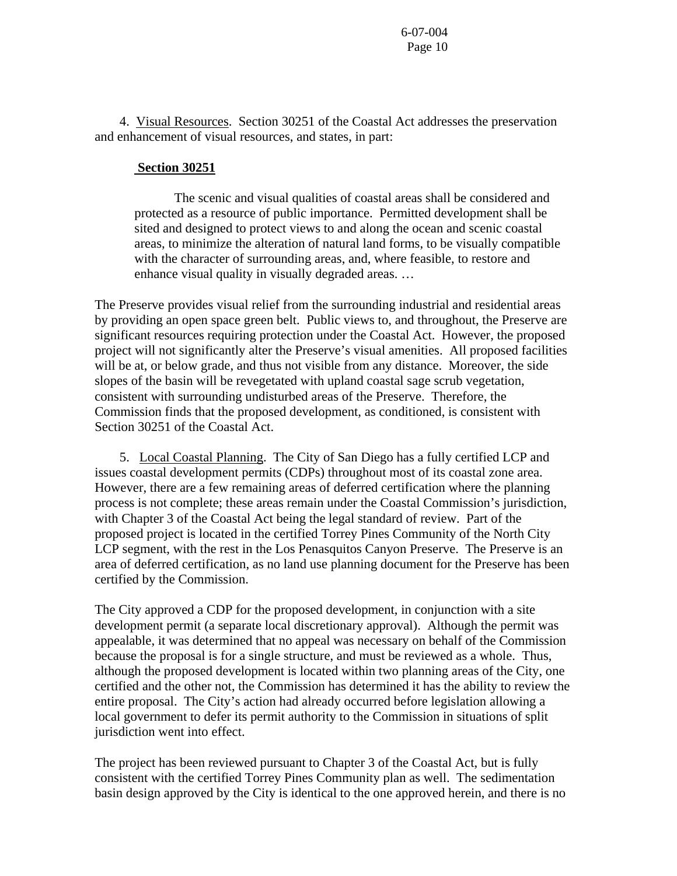4. Visual Resources. Section 30251 of the Coastal Act addresses the preservation and enhancement of visual resources, and states, in part:

## **Section 30251**

 The scenic and visual qualities of coastal areas shall be considered and protected as a resource of public importance. Permitted development shall be sited and designed to protect views to and along the ocean and scenic coastal areas, to minimize the alteration of natural land forms, to be visually compatible with the character of surrounding areas, and, where feasible, to restore and enhance visual quality in visually degraded areas. …

The Preserve provides visual relief from the surrounding industrial and residential areas by providing an open space green belt. Public views to, and throughout, the Preserve are significant resources requiring protection under the Coastal Act. However, the proposed project will not significantly alter the Preserve's visual amenities. All proposed facilities will be at, or below grade, and thus not visible from any distance. Moreover, the side slopes of the basin will be revegetated with upland coastal sage scrub vegetation, consistent with surrounding undisturbed areas of the Preserve. Therefore, the Commission finds that the proposed development, as conditioned, is consistent with Section 30251 of the Coastal Act.

 5. Local Coastal Planning. The City of San Diego has a fully certified LCP and issues coastal development permits (CDPs) throughout most of its coastal zone area. However, there are a few remaining areas of deferred certification where the planning process is not complete; these areas remain under the Coastal Commission's jurisdiction, with Chapter 3 of the Coastal Act being the legal standard of review. Part of the proposed project is located in the certified Torrey Pines Community of the North City LCP segment, with the rest in the Los Penasquitos Canyon Preserve. The Preserve is an area of deferred certification, as no land use planning document for the Preserve has been certified by the Commission.

The City approved a CDP for the proposed development, in conjunction with a site development permit (a separate local discretionary approval). Although the permit was appealable, it was determined that no appeal was necessary on behalf of the Commission because the proposal is for a single structure, and must be reviewed as a whole. Thus, although the proposed development is located within two planning areas of the City, one certified and the other not, the Commission has determined it has the ability to review the entire proposal. The City's action had already occurred before legislation allowing a local government to defer its permit authority to the Commission in situations of split jurisdiction went into effect.

The project has been reviewed pursuant to Chapter 3 of the Coastal Act, but is fully consistent with the certified Torrey Pines Community plan as well. The sedimentation basin design approved by the City is identical to the one approved herein, and there is no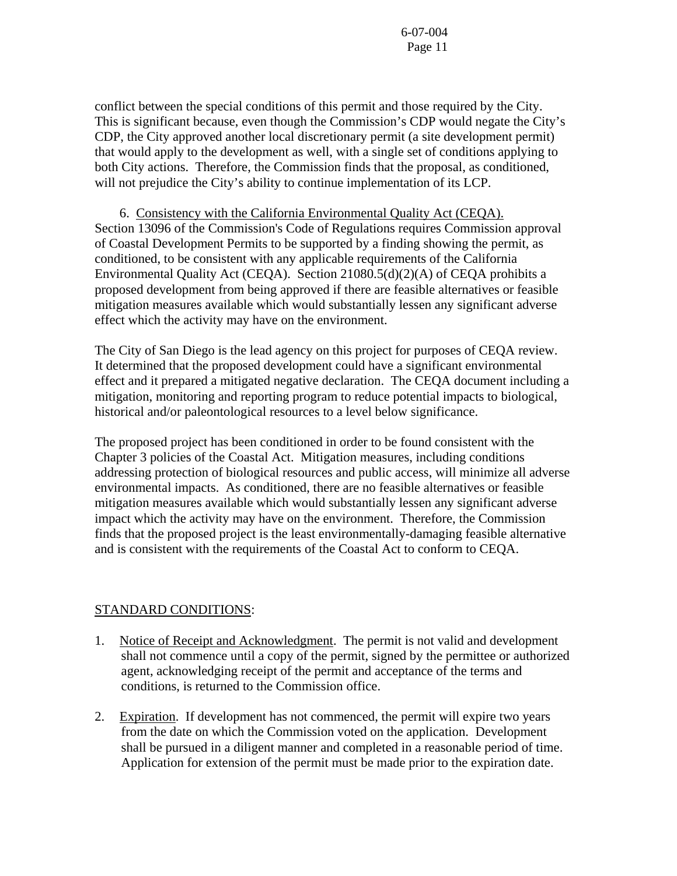conflict between the special conditions of this permit and those required by the City. This is significant because, even though the Commission's CDP would negate the City's CDP, the City approved another local discretionary permit (a site development permit) that would apply to the development as well, with a single set of conditions applying to both City actions. Therefore, the Commission finds that the proposal, as conditioned, will not prejudice the City's ability to continue implementation of its LCP.

 6. Consistency with the California Environmental Quality Act (CEQA). Section 13096 of the Commission's Code of Regulations requires Commission approval of Coastal Development Permits to be supported by a finding showing the permit, as conditioned, to be consistent with any applicable requirements of the California Environmental Quality Act (CEQA). Section 21080.5(d)(2)(A) of CEQA prohibits a proposed development from being approved if there are feasible alternatives or feasible mitigation measures available which would substantially lessen any significant adverse effect which the activity may have on the environment.

The City of San Diego is the lead agency on this project for purposes of CEQA review. It determined that the proposed development could have a significant environmental effect and it prepared a mitigated negative declaration. The CEQA document including a mitigation, monitoring and reporting program to reduce potential impacts to biological, historical and/or paleontological resources to a level below significance.

The proposed project has been conditioned in order to be found consistent with the Chapter 3 policies of the Coastal Act. Mitigation measures, including conditions addressing protection of biological resources and public access, will minimize all adverse environmental impacts. As conditioned, there are no feasible alternatives or feasible mitigation measures available which would substantially lessen any significant adverse impact which the activity may have on the environment. Therefore, the Commission finds that the proposed project is the least environmentally-damaging feasible alternative and is consistent with the requirements of the Coastal Act to conform to CEQA.

## STANDARD CONDITIONS:

- 1. Notice of Receipt and Acknowledgment. The permit is not valid and development shall not commence until a copy of the permit, signed by the permittee or authorized agent, acknowledging receipt of the permit and acceptance of the terms and conditions, is returned to the Commission office.
- 2. Expiration. If development has not commenced, the permit will expire two years from the date on which the Commission voted on the application. Development shall be pursued in a diligent manner and completed in a reasonable period of time. Application for extension of the permit must be made prior to the expiration date.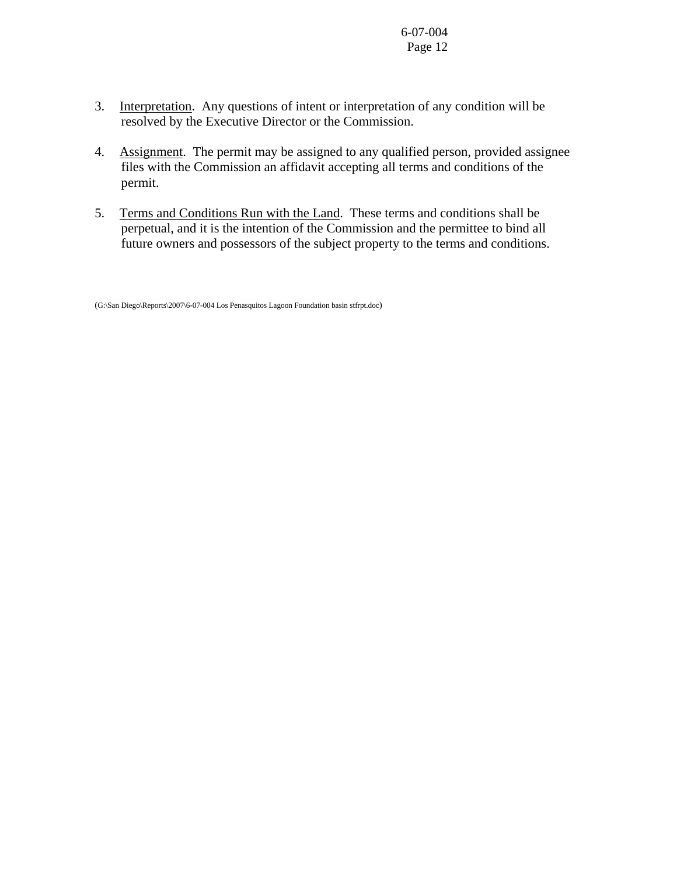- 3. Interpretation. Any questions of intent or interpretation of any condition will be resolved by the Executive Director or the Commission.
- 4. Assignment. The permit may be assigned to any qualified person, provided assignee files with the Commission an affidavit accepting all terms and conditions of the permit.
- 5. Terms and Conditions Run with the Land. These terms and conditions shall be perpetual, and it is the intention of the Commission and the permittee to bind all future owners and possessors of the subject property to the terms and conditions.

<sup>(</sup>G:\San Diego\Reports\2007\6-07-004 Los Penasquitos Lagoon Foundation basin stfrpt.doc)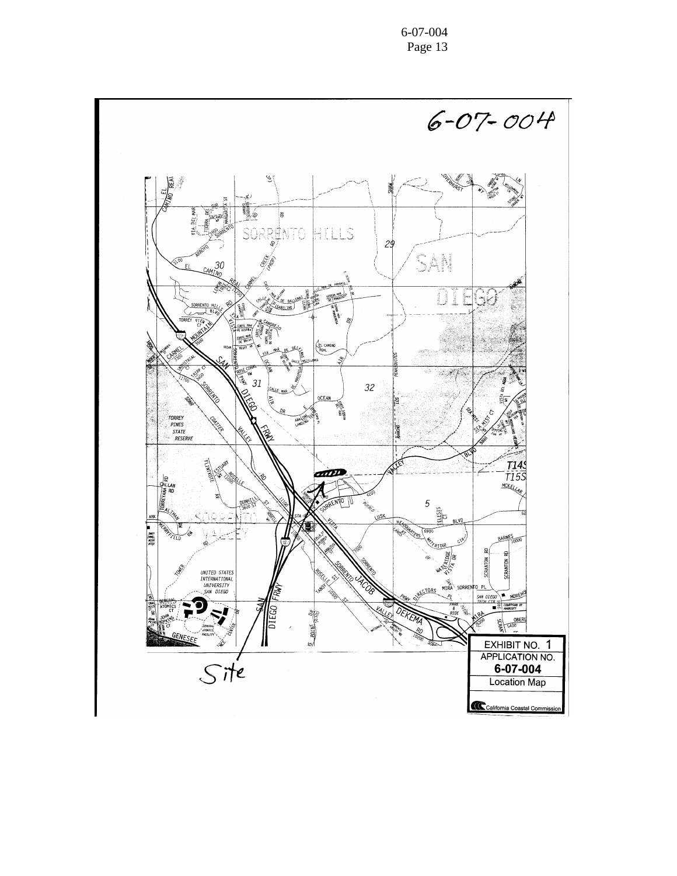6-07-004 Page 13

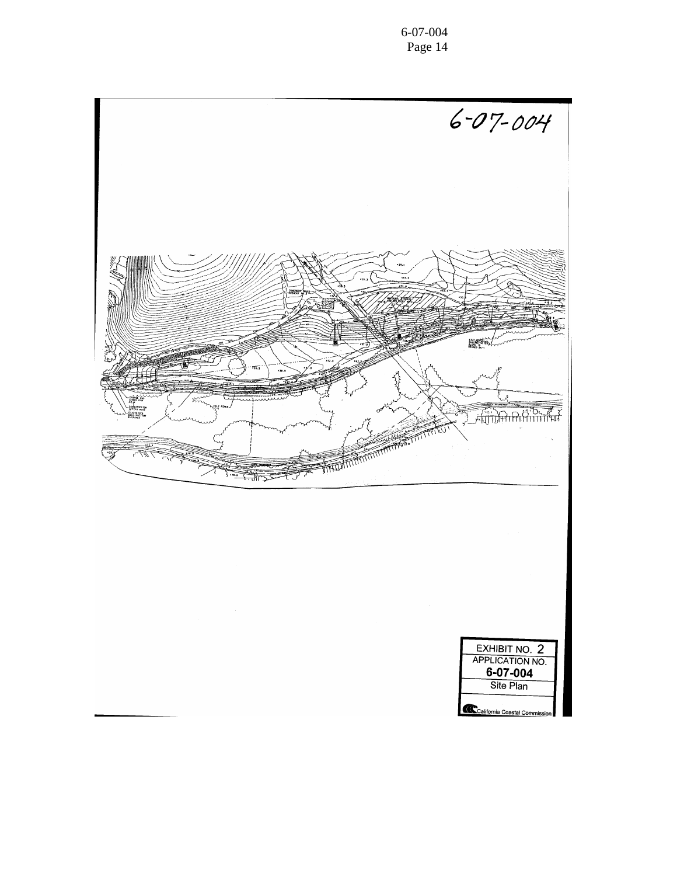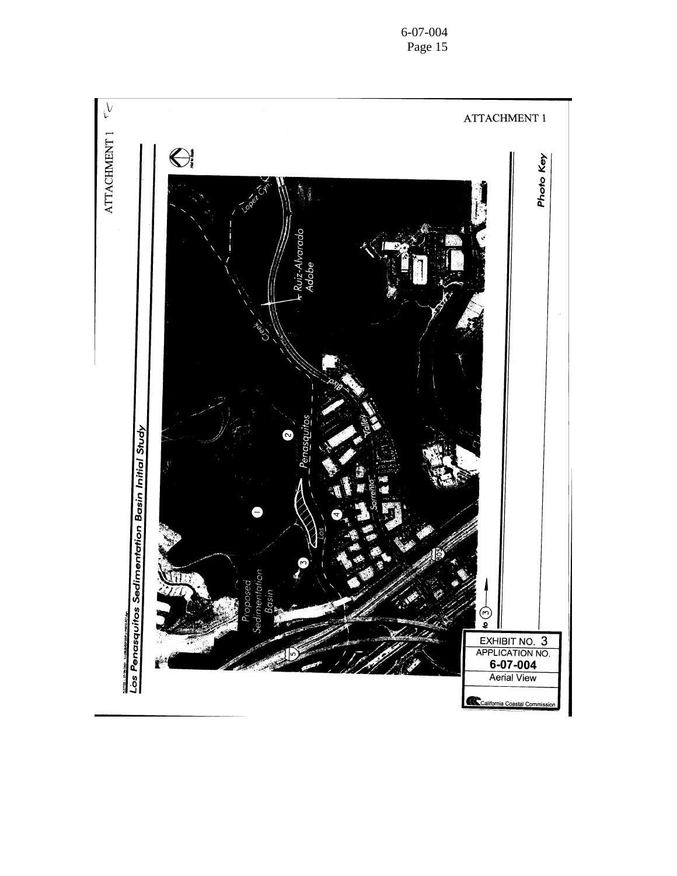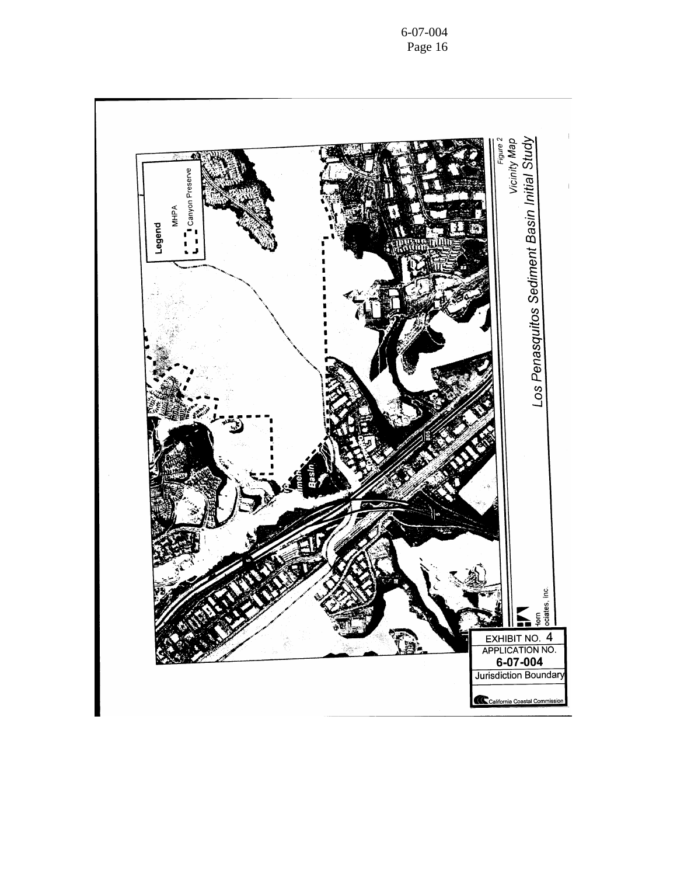

6-07-004 Page 16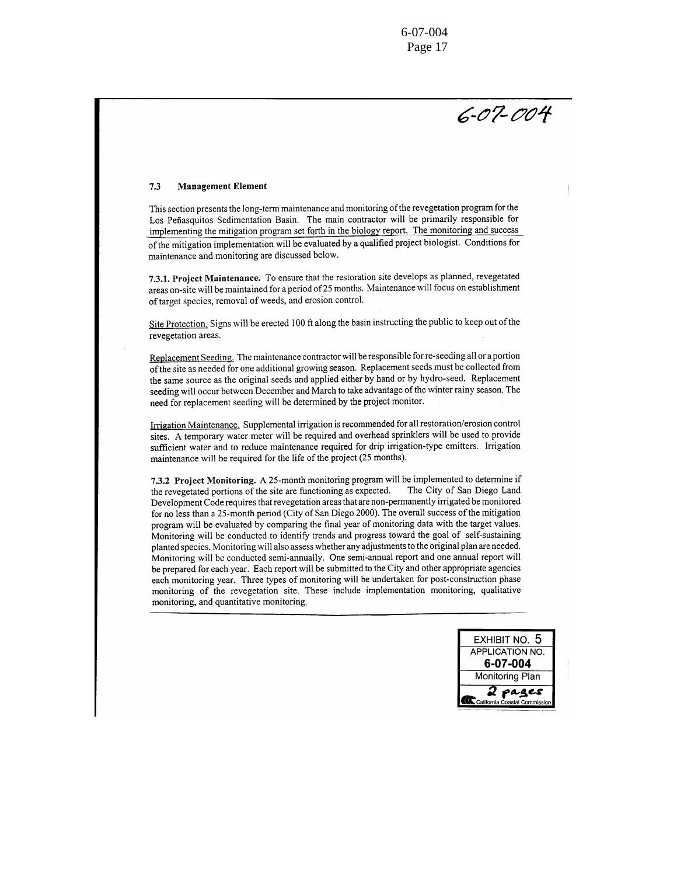$6 - 07 - 004$ 

#### 7.3 **Management Element**

This section presents the long-term maintenance and monitoring of the revegetation program for the Los Peñasquitos Sedimentation Basin. The main contractor will be primarily responsible for implementing the mitigation program set forth in the biology report. The monitoring and success of the mitigation implementation will be evaluated by a qualified project biologist. Conditions for maintenance and monitoring are discussed below.

7.3.1. Project Maintenance. To ensure that the restoration site develops as planned, revegetated areas on-site will be maintained for a period of 25 months. Maintenance will focus on establishment of target species, removal of weeds, and erosion control.

Site Protection. Signs will be erected 100 ft along the basin instructing the public to keep out of the revegetation areas.

Replacement Seeding. The maintenance contractor will be responsible for re-seeding all or a portion of the site as needed for one additional growing season. Replacement seeds must be collected from the same source as the original seeds and applied either by hand or by hydro-seed. Replacement seeding will occur between December and March to take advantage of the winter rainy season. The need for replacement seeding will be determined by the project monitor.

Irrigation Maintenance. Supplemental irrigation is recommended for all restoration/erosion control sites. A temporary water meter will be required and overhead sprinklers will be used to provide sufficient water and to reduce maintenance required for drip irrigation-type emitters. Irrigation maintenance will be required for the life of the project (25 months).

7.3.2 Project Monitoring. A 25-month monitoring program will be implemented to determine if the revegetated portions of the site are functioning as expected. The City of San Diego Land Development Code requires that revegetation areas that are non-permanently irrigated be monitored for no less than a 25-month period (City of San Diego 2000). The overall success of the mitigation program will be evaluated by comparing the final year of monitoring data with the target values. Monitoring will be conducted to identify trends and progress toward the goal of self-sustaining planted species. Monitoring will also assess whether any adjustments to the original plan are needed. Monitoring will be conducted semi-annually. One semi-annual report and one annual report will be prepared for each year. Each report will be submitted to the City and other appropriate agencies each monitoring year. Three types of monitoring will be undertaken for post-construction phase monitoring of the revegetation site. These include implementation monitoring, qualitative monitoring, and quantitative monitoring.